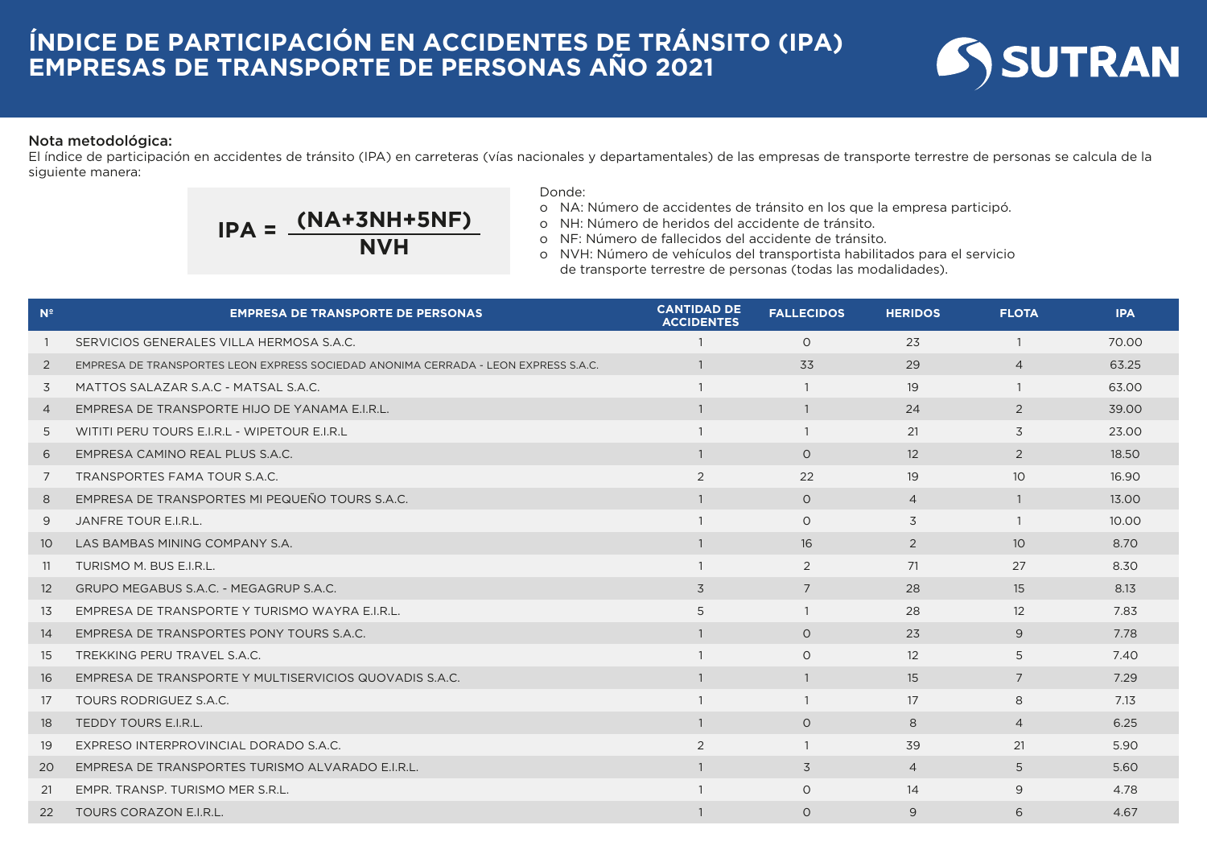

## Nota metodológica:

El índice de participación en accidentes de tránsito (IPA) en carreteras (vías nacionales y departamentales) de las empresas de transporte terrestre de personas se calcula de la siguiente manera:

$$
IPA = \frac{(NA+3NH+5NF)}{NVH}
$$

## Donde:

- o NA: Número de accidentes de tránsito en los que la empresa participó.
- o NH: Número de heridos del accidente de tránsito.
- o NF: Número de fallecidos del accidente de tránsito.
- o NVH: Número de vehículos del transportista habilitados para el servicio de transporte terrestre de personas (todas las modalidades).

| N <sup>2</sup>    | <b>EMPRESA DE TRANSPORTE DE PERSONAS</b>                                           | <b>CANTIDAD DE</b><br><b>ACCIDENTES</b> | <b>FALLECIDOS</b> | <b>HERIDOS</b> | <b>FLOTA</b>      | <b>IPA</b> |
|-------------------|------------------------------------------------------------------------------------|-----------------------------------------|-------------------|----------------|-------------------|------------|
|                   | SERVICIOS GENERALES VILLA HERMOSA S.A.C.                                           |                                         | $\Omega$          | 23             | $\mathbf{1}$      | 70.00      |
| $\overline{2}$    | EMPRESA DE TRANSPORTES LEON EXPRESS SOCIEDAD ANONIMA CERRADA - LEON EXPRESS S.A.C. |                                         | 33                | 29             | $\overline{4}$    | 63.25      |
| 3                 | MATTOS SALAZAR S.A.C - MATSAL S.A.C.                                               |                                         | $\overline{1}$    | 19             | $\mathbf{1}$      | 63.00      |
| $\overline{4}$    | EMPRESA DE TRANSPORTE HIJO DE YANAMA E.I.R.L.                                      | $\overline{1}$                          | $\overline{1}$    | 24             | 2                 | 39.00      |
| 5                 | WITITI PERU TOURS E.I.R.L - WIPETOUR E.I.R.L                                       |                                         | $\overline{1}$    | 21             | 3                 | 23.00      |
| 6                 | EMPRESA CAMINO REAL PLUS S.A.C.                                                    | $\overline{1}$                          | $\overline{O}$    | 12             | 2                 | 18.50      |
| 7                 | TRANSPORTES FAMA TOUR S.A.C.                                                       | 2                                       | 22                | 19             | 10 <sup>°</sup>   | 16.90      |
| 8                 | EMPRESA DE TRANSPORTES MI PEQUEÑO TOURS S.A.C.                                     | $\mathbf{1}$                            | $\circ$           | $\overline{4}$ | $\overline{1}$    | 13.00      |
| 9                 | JANFRE TOUR E.I.R.L.                                                               |                                         | $\circ$           | 3              |                   | 10.00      |
| 10 <sup>°</sup>   | LAS BAMBAS MINING COMPANY S.A.                                                     |                                         | 16                | 2              | 10 <sup>°</sup>   | 8.70       |
| 11                | TURISMO M. BUS E.I.R.L.                                                            |                                         | 2                 | 71             | 27                | 8.30       |
| $12 \overline{ }$ | GRUPO MEGABUS S.A.C. - MEGAGRUP S.A.C.                                             | 3                                       | 7                 | 28             | 15                | 8.13       |
| 13                | EMPRESA DE TRANSPORTE Y TURISMO WAYRA E.I.R.L.                                     | 5                                       | $\overline{1}$    | 28             | $12 \overline{ }$ | 7.83       |
| 14                | EMPRESA DE TRANSPORTES PONY TOURS S.A.C.                                           | $\mathbf{1}$                            | $\Omega$          | 23             | 9                 | 7.78       |
| 15                | TREKKING PERU TRAVEL S.A.C.                                                        |                                         | $\circ$           | 12             | 5                 | 7.40       |
| 16                | EMPRESA DE TRANSPORTE Y MULTISERVICIOS QUOVADIS S.A.C.                             | $\overline{1}$                          | $\overline{1}$    | 15             | $\overline{7}$    | 7.29       |
| 17                | TOURS RODRIGUEZ S.A.C.                                                             |                                         | $\mathbf{1}$      | 17             | 8                 | 7.13       |
| 18                | TEDDY TOURS E.I.R.L.                                                               | $\overline{1}$                          | $\circ$           | 8              | $\overline{4}$    | 6.25       |
| 19                | EXPRESO INTERPROVINCIAL DORADO S.A.C.                                              | 2                                       | $\overline{1}$    | 39             | 21                | 5.90       |
| 20                | EMPRESA DE TRANSPORTES TURISMO ALVARADO E.I.R.L.                                   | $\mathbf{1}$                            | 3                 | $\overline{4}$ | 5                 | 5.60       |
| 21                | EMPR. TRANSP. TURISMO MER S.R.L.                                                   |                                         | $\circ$           | 14             | 9                 | 4.78       |
| 22                | <b>TOURS CORAZON E.I.R.L.</b>                                                      |                                         | $\Omega$          | 9              | 6                 | 4.67       |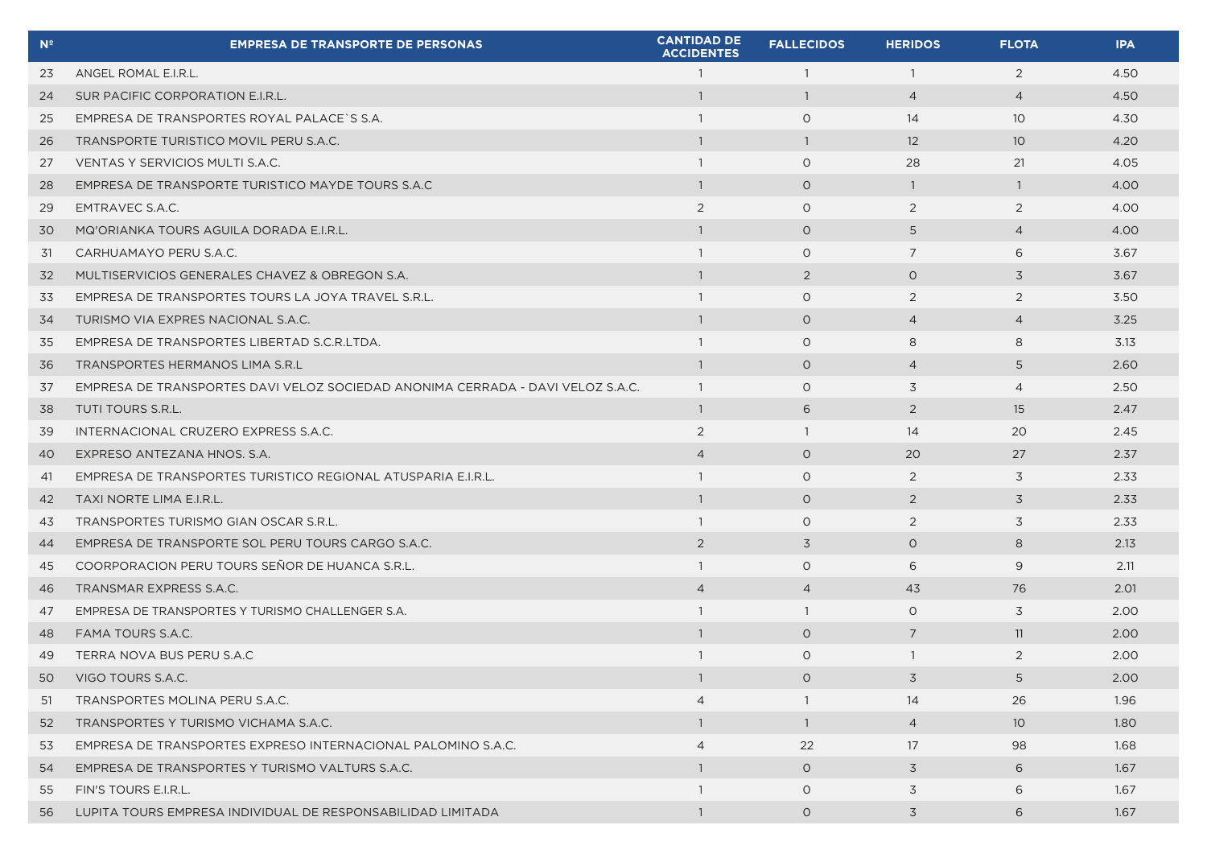| $\mathbf{N}^{\mathsf{e}}$ | <b>EMPRESA DE TRANSPORTE DE PERSONAS</b>                                       | <b>CANTIDAD DE</b><br><b>ACCIDENTES</b> | <b>FALLECIDOS</b> | <b>HERIDOS</b> | <b>FLOTA</b>    | <b>IPA</b> |
|---------------------------|--------------------------------------------------------------------------------|-----------------------------------------|-------------------|----------------|-----------------|------------|
| 23                        | ANGEL ROMAL E.I.R.L.                                                           | $\overline{1}$                          | $\overline{1}$    | $\overline{1}$ | 2               | 4.50       |
| 24                        | SUR PACIFIC CORPORATION E.I.R.L.                                               | $\mathbf{1}$                            | $\overline{1}$    | $\overline{4}$ | $\overline{4}$  | 4.50       |
| 25                        | EMPRESA DE TRANSPORTES ROYAL PALACE S S.A.                                     | $\mathbf{1}$                            | $\circ$           | 14             | 10 <sup>°</sup> | 4.30       |
| 26                        | TRANSPORTE TURISTICO MOVIL PERU S.A.C.                                         | $\mathbf{1}$                            | $\overline{1}$    | 12             | 10 <sup>°</sup> | 4.20       |
| 27                        | VENTAS Y SERVICIOS MULTI S.A.C.                                                | $\mathbf{1}$                            | $\circ$           | 28             | 21              | 4.05       |
| 28                        | EMPRESA DE TRANSPORTE TURISTICO MAYDE TOURS S.A.C                              | $\overline{1}$                          | $\circ$           | $\overline{1}$ | $\mathbf{1}$    | 4.00       |
| 29                        | EMTRAVEC S.A.C.                                                                | 2                                       | $\circ$           | 2              | 2               | 4.00       |
| 30                        | MQ'ORIANKA TOURS AGUILA DORADA E.I.R.L.                                        | $\mathbf{1}$                            | $\circ$           | 5              | $\overline{4}$  | 4.00       |
| 31                        | CARHUAMAYO PERU S.A.C.                                                         | $\mathbf{1}$                            | $\circ$           | 7              | 6               | 3.67       |
| 32                        | MULTISERVICIOS GENERALES CHAVEZ & OBREGON S.A.                                 | $\overline{1}$                          | 2                 | $\circ$        | 3               | 3.67       |
| 33                        | EMPRESA DE TRANSPORTES TOURS LA JOYA TRAVEL S.R.L.                             | $\overline{1}$                          | $\circ$           | 2              | 2               | 3.50       |
| 34                        | TURISMO VIA EXPRES NACIONAL S.A.C.                                             | $\mathbf{1}$                            | $\circ$           | $\overline{4}$ | $\overline{4}$  | 3.25       |
| 35                        | EMPRESA DE TRANSPORTES LIBERTAD S.C.R.LTDA.                                    | $\overline{1}$                          | $\circ$           | 8              | 8               | 3.13       |
| 36                        | TRANSPORTES HERMANOS LIMA S.R.L                                                | $\mathbf{1}$                            | $\circ$           | $\overline{4}$ | 5               | 2.60       |
| 37                        | EMPRESA DE TRANSPORTES DAVI VELOZ SOCIEDAD ANONIMA CERRADA - DAVI VELOZ S.A.C. | $\overline{1}$                          | $\circ$           | 3              | $\overline{4}$  | 2.50       |
| 38                        | TUTI TOURS S.R.L.                                                              | $\overline{1}$                          | 6                 | $\overline{2}$ | 15              | 2.47       |
| 39                        | INTERNACIONAL CRUZERO EXPRESS S.A.C.                                           | 2                                       | $\overline{1}$    | 14             | 20              | 2.45       |
| 40                        | EXPRESO ANTEZANA HNOS. S.A.                                                    | $\overline{4}$                          | $\circ$           | 20             | 27              | 2.37       |
| 41                        | EMPRESA DE TRANSPORTES TURISTICO REGIONAL ATUSPARIA E.I.R.L.                   | $\mathbf{1}$                            | $\circ$           | 2              | 3               | 2.33       |
| 42                        | TAXI NORTE LIMA E.I.R.L.                                                       | $\mathbf{1}$                            | $\circ$           | 2              | 3               | 2.33       |
| 43                        | TRANSPORTES TURISMO GIAN OSCAR S.R.L.                                          | $\overline{1}$                          | $\circ$           | 2              | 3               | 2.33       |
| 44                        | EMPRESA DE TRANSPORTE SOL PERU TOURS CARGO S.A.C.                              | 2                                       | 3                 | $\Omega$       | 8               | 2.13       |
| 45                        | COORPORACION PERU TOURS SENOR DE HUANCA S.R.L.                                 | $\overline{1}$                          | $\circ$           | 6              | 9               | 2.11       |
| 46                        | TRANSMAR EXPRESS S.A.C.                                                        | $\overline{4}$                          | $\overline{4}$    | 43             | 76              | 2.01       |
| 47                        | EMPRESA DE TRANSPORTES Y TURISMO CHALLENGER S.A.                               | $\overline{1}$                          | -1                | $\circ$        | 3               | 2.00       |
| 48                        | <b>FAMA TOURS S.A.C.</b>                                                       | $\overline{1}$                          | $\circ$           | 7              | 11              | 2.00       |
| 49                        | TERRA NOVA BUS PERU S.A.C                                                      | $\overline{1}$                          | $\circ$           | $\overline{1}$ | 2               | 2.00       |
| 50                        | VIGO TOURS S.A.C.                                                              |                                         | $\circ$           | 3              | 5               | 2.00       |
| 51                        | TRANSPORTES MOLINA PERU S.A.C.                                                 | 4                                       |                   | 14             | 26              | 1.96       |
| 52                        | TRANSPORTES Y TURISMO VICHAMA S.A.C.                                           | $\mathbf{1}$                            | $\overline{1}$    | $\overline{4}$ | 10 <sup>°</sup> | 1.80       |
| 53                        | EMPRESA DE TRANSPORTES EXPRESO INTERNACIONAL PALOMINO S.A.C.                   | $\overline{4}$                          | 22                | 17             | 98              | 1.68       |
| 54                        | EMPRESA DE TRANSPORTES Y TURISMO VALTURS S.A.C.                                | $\overline{1}$                          | $\circ$           | $\overline{3}$ | 6               | 1.67       |
| 55                        | FIN'S TOURS E.I.R.L.                                                           | $\mathbf{1}$                            | $\circ$           | 3              | 6               | 1.67       |
| 56                        | LUPITA TOURS EMPRESA INDIVIDUAL DE RESPONSABILIDAD LIMITADA                    | $\mathbf{1}$                            | $\circ$           | $\overline{3}$ | 6               | 1.67       |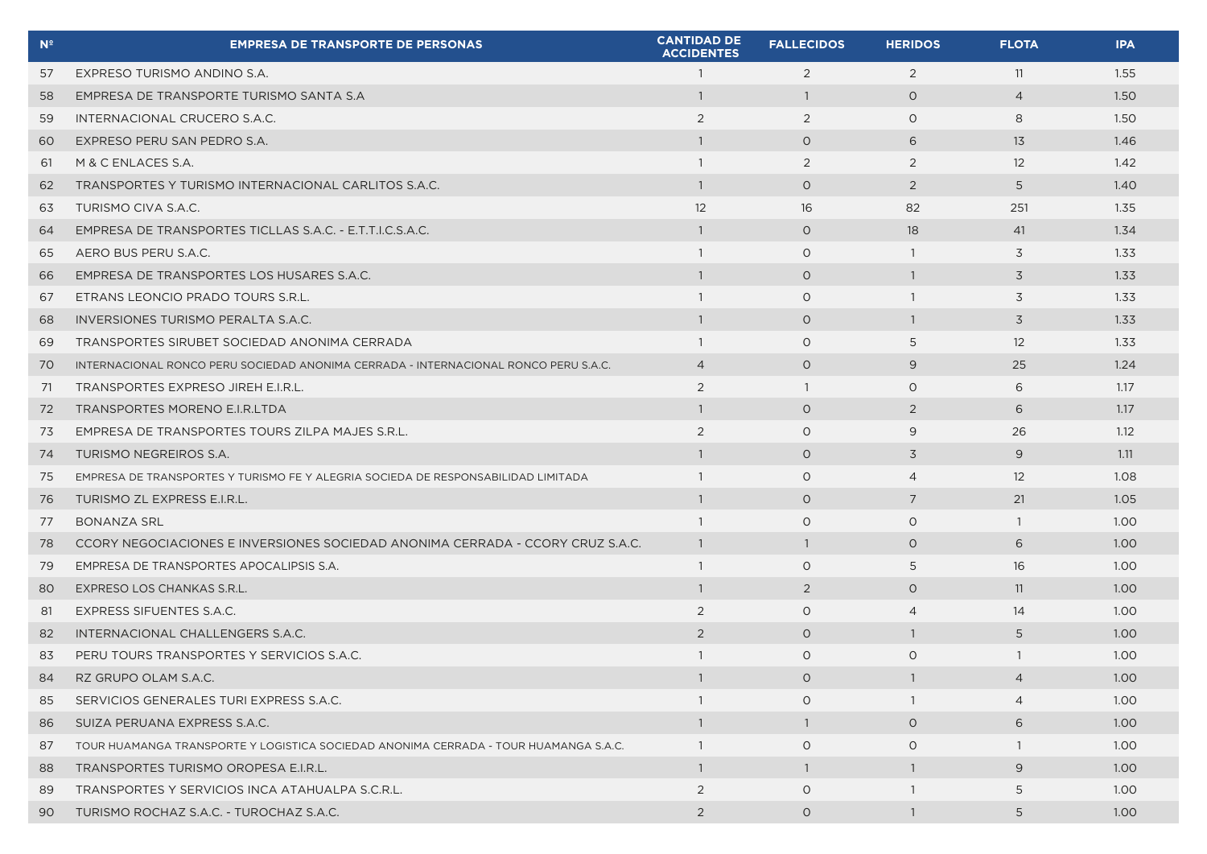| $N^2$ | <b>EMPRESA DE TRANSPORTE DE PERSONAS</b>                                             | <b>CANTIDAD DE</b><br><b>ACCIDENTES</b> | <b>FALLECIDOS</b> | <b>HERIDOS</b> | <b>FLOTA</b>      | <b>IPA</b>        |
|-------|--------------------------------------------------------------------------------------|-----------------------------------------|-------------------|----------------|-------------------|-------------------|
| 57    | EXPRESO TURISMO ANDINO S.A.                                                          | $\overline{1}$                          | 2                 | 2              | 11                | 1.55              |
| 58    | EMPRESA DE TRANSPORTE TURISMO SANTA S.A                                              | $\mathbf{1}$                            | $\overline{1}$    | $\circ$        | $\overline{4}$    | 1.50              |
| 59    | INTERNACIONAL CRUCERO S.A.C.                                                         | 2                                       | 2                 | $\circ$        | 8                 | 1.50              |
| 60    | EXPRESO PERU SAN PEDRO S.A.                                                          | $\mathbf{1}$                            | $\circ$           | 6              | 13                | 1.46              |
| 61    | M & C ENLACES S.A.                                                                   | $\overline{1}$                          | 2                 | 2              | $12 \overline{ }$ | 1.42              |
| 62    | TRANSPORTES Y TURISMO INTERNACIONAL CARLITOS S.A.C.                                  | $\overline{1}$                          | $\circ$           | 2              | 5                 | 1.40              |
| 63    | TURISMO CIVA S.A.C.                                                                  | 12                                      | 16                | 82             | 251               | 1.35              |
| 64    | EMPRESA DE TRANSPORTES TICLLAS S.A.C. - E.T.T.I.C.S.A.C.                             | $\overline{1}$                          | $\circ$           | 18             | 41                | 1.34              |
| 65    | AERO BUS PERU S.A.C.                                                                 | $\mathbf{1}$                            | $\circ$           | $\overline{1}$ | 3                 | 1.33              |
| 66    | EMPRESA DE TRANSPORTES LOS HUSARES S.A.C.                                            | $\overline{1}$                          | $\circ$           | $\overline{1}$ | 3                 | 1.33              |
| 67    | ETRANS LEONCIO PRADO TOURS S.R.L.                                                    | $\overline{1}$                          | $\circ$           | $\overline{1}$ | 3                 | 1.33              |
| 68    | INVERSIONES TURISMO PERALTA S.A.C.                                                   | $\overline{1}$                          | $\circ$           | $\overline{1}$ | 3                 | 1.33              |
| 69    | TRANSPORTES SIRUBET SOCIEDAD ANONIMA CERRADA                                         | $\overline{1}$                          | $\circ$           | 5              | 12                | 1.33              |
| 70    | INTERNACIONAL RONCO PERU SOCIEDAD ANONIMA CERRADA - INTERNACIONAL RONCO PERU S.A.C.  | $\overline{4}$                          | $\circ$           | 9              | 25                | 1.24              |
| 71    | TRANSPORTES EXPRESO JIREH E.I.R.L.                                                   | 2                                       | $\overline{1}$    | $\circ$        | 6                 | 1.17              |
| 72    | TRANSPORTES MORENO E.I.R.LTDA                                                        | $\overline{1}$                          | $\circ$           | $\overline{2}$ | 6                 | 1.17              |
| 73    | EMPRESA DE TRANSPORTES TOURS ZILPA MAJES S.R.L.                                      | 2                                       | $\circ$           | 9              | 26                | 1.12              |
| 74    | TURISMO NEGREIROS S.A.                                                               | $\overline{1}$                          | $\circ$           | 3              | 9                 | 1.11              |
| 75    | EMPRESA DE TRANSPORTES Y TURISMO FE Y ALEGRIA SOCIEDA DE RESPONSABILIDAD LIMITADA    | $\mathbf{1}$                            | $\circ$           | $\overline{4}$ | $12 \overline{ }$ | 1.08              |
| 76    | TURISMO ZL EXPRESS E.I.R.L.                                                          | $\overline{1}$                          | $\circ$           | 7              | 21                | 1.05              |
| 77    | <b>BONANZA SRL</b>                                                                   | $\overline{1}$                          | $\circ$           | $\circ$        | $\overline{1}$    | 1.00              |
| 78    | CCORY NEGOCIACIONES E INVERSIONES SOCIEDAD ANONIMA CERRADA - CCORY CRUZ S.A.C.       | $\overline{1}$                          | $\overline{1}$    | $\circ$        | 6                 | 1.00              |
| 79    | EMPRESA DE TRANSPORTES APOCALIPSIS S.A.                                              | $\overline{1}$                          | $\circ$           | 5              | 16                | 1.00 <sub>1</sub> |
| 80    | EXPRESO LOS CHANKAS S.R.L.                                                           | $\overline{1}$                          | $\overline{2}$    | $\circ$        | 11                | 1.00              |
| 81    | EXPRESS SIFUENTES S.A.C.                                                             | 2                                       | $\circ$           | $\overline{4}$ | 14                | 1.00              |
| 82    | INTERNACIONAL CHALLENGERS S.A.C.                                                     | 2                                       | $\circ$           | $\overline{1}$ | 5                 | 1.00              |
| 83    | PERU TOURS TRANSPORTES Y SERVICIOS S.A.C.                                            | $\mathbf{1}$                            | $\circ$           | $\circ$        | $\overline{1}$    | 1.00              |
| 84    | RZ GRUPO OLAM S.A.C.                                                                 |                                         | $\circ$           |                | 4                 | 1.00              |
| 85    | SERVICIOS GENERALES TURI EXPRESS S.A.C.                                              | $\overline{1}$                          | $\circ$           | -1             | $\overline{4}$    | 1.00              |
| 86    | SUIZA PERUANA EXPRESS S.A.C.                                                         | $\overline{1}$                          | $\overline{1}$    | $\circ$        | 6                 | 1.00              |
| 87    | TOUR HUAMANGA TRANSPORTE Y LOGISTICA SOCIEDAD ANONIMA CERRADA - TOUR HUAMANGA S.A.C. | $\overline{1}$                          | $\circ$           | $\circ$        | -1                | 1.00 <sub>1</sub> |
| 88    | TRANSPORTES TURISMO OROPESA E.I.R.L.                                                 | $\overline{1}$                          | $\overline{1}$    | $\overline{1}$ | 9                 | 1.00 <sub>1</sub> |
| 89    | TRANSPORTES Y SERVICIOS INCA ATAHUALPA S.C.R.L.                                      | 2                                       | $\circ$           | -1             | 5                 | 1.00 <sub>1</sub> |
| 90    | TURISMO ROCHAZ S.A.C. - TUROCHAZ S.A.C.                                              | 2                                       | $\circ$           | $\overline{1}$ | 5                 | 1.00 <sub>1</sub> |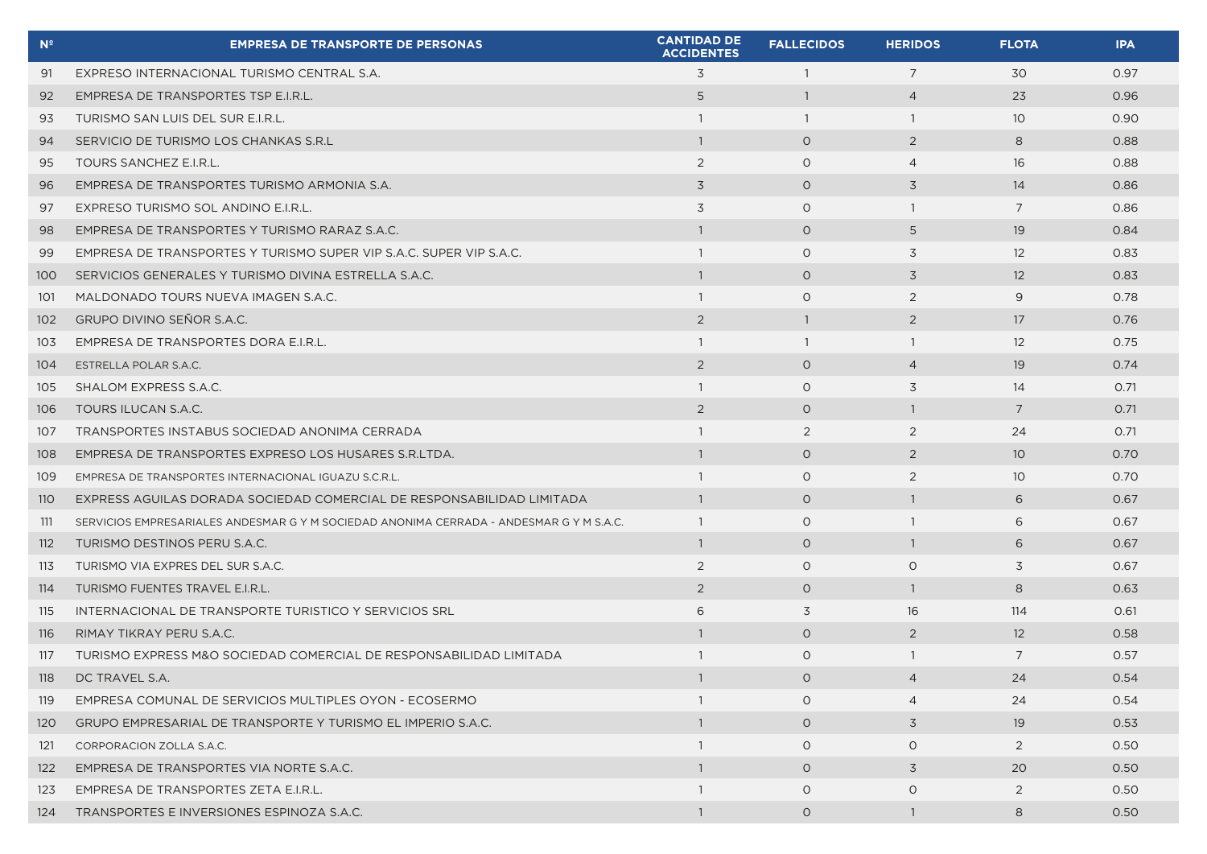| N <sup>2</sup> | <b>EMPRESA DE TRANSPORTE DE PERSONAS</b>                                                | <b>CANTIDAD DE</b><br><b>ACCIDENTES</b> | <b>FALLECIDOS</b> | <b>HERIDOS</b> | <b>FLOTA</b>      | <b>IPA</b> |
|----------------|-----------------------------------------------------------------------------------------|-----------------------------------------|-------------------|----------------|-------------------|------------|
| 91             | EXPRESO INTERNACIONAL TURISMO CENTRAL S.A.                                              | 3                                       | $\overline{1}$    | $\overline{7}$ | 30                | 0.97       |
| 92             | EMPRESA DE TRANSPORTES TSP E.I.R.L.                                                     | 5                                       | $\overline{1}$    | $\overline{4}$ | 23                | 0.96       |
| 93             | TURISMO SAN LUIS DEL SUR E.I.R.L.                                                       | -1                                      | $\overline{1}$    | $\overline{1}$ | 10 <sup>°</sup>   | 0.90       |
| 94             | SERVICIO DE TURISMO LOS CHANKAS S.R.L                                                   | $\overline{1}$                          | $\circ$           | 2              | 8                 | 0.88       |
| 95             | TOURS SANCHEZ E.I.R.L.                                                                  | 2                                       | $\circ$           | $\overline{4}$ | 16                | 0.88       |
| 96             | EMPRESA DE TRANSPORTES TURISMO ARMONIA S.A.                                             | $\overline{3}$                          | $\circ$           | 3              | 14                | 0.86       |
| 97             | EXPRESO TURISMO SOL ANDINO E.I.R.L.                                                     | 3                                       | $\circ$           | $\overline{1}$ | $\overline{7}$    | 0.86       |
| 98             | EMPRESA DE TRANSPORTES Y TURISMO RARAZ S.A.C.                                           | $\overline{1}$                          | $\circ$           | 5              | 19                | 0.84       |
| 99             | EMPRESA DE TRANSPORTES Y TURISMO SUPER VIP S.A.C. SUPER VIP S.A.C.                      | $\mathbf{1}$                            | $\circ$           | 3              | $12 \overline{ }$ | 0.83       |
| 100            | SERVICIOS GENERALES Y TURISMO DIVINA ESTRELLA S.A.C.                                    | -1                                      | $\circ$           | 3              | 12                | 0.83       |
| 101            | MALDONADO TOURS NUEVA IMAGEN S.A.C.                                                     | $\overline{1}$                          | $\circ$           | 2              | 9                 | 0.78       |
| 102            | GRUPO DIVINO SEÑOR S.A.C.                                                               | 2                                       | $\overline{1}$    | 2              | 17                | 0.76       |
| 103            | EMPRESA DE TRANSPORTES DORA E.I.R.L.                                                    | $\overline{1}$                          | $\overline{1}$    | $\overline{1}$ | 12                | 0.75       |
| 104            | ESTRELLA POLAR S.A.C.                                                                   | 2                                       | $\circ$           | $\overline{4}$ | 19                | 0.74       |
| 105            | SHALOM EXPRESS S.A.C.                                                                   | -1                                      | $\circ$           | 3              | 14                | 0.71       |
| 106            | TOURS ILUCAN S.A.C.                                                                     | 2                                       | $\circ$           | $\overline{1}$ | $\overline{7}$    | 0.71       |
| 107            | TRANSPORTES INSTABUS SOCIEDAD ANONIMA CERRADA                                           | $\overline{1}$                          | 2                 | 2              | 24                | 0.71       |
| 108            | EMPRESA DE TRANSPORTES EXPRESO LOS HUSARES S.R.LTDA.                                    | $\overline{1}$                          | $\circ$           | 2              | 10 <sup>°</sup>   | 0.70       |
| 109            | EMPRESA DE TRANSPORTES INTERNACIONAL IGUAZU S.C.R.L.                                    | $\mathbf{1}$                            | $\circ$           | 2              | 10 <sup>°</sup>   | 0.70       |
| <b>110</b>     | EXPRESS AGUILAS DORADA SOCIEDAD COMERCIAL DE RESPONSABILIDAD LIMITADA                   |                                         | $\circ$           | -1             | 6                 | 0.67       |
| 111            | SERVICIOS EMPRESARIALES ANDESMAR G Y M SOCIEDAD ANONIMA CERRADA - ANDESMAR G Y M S.A.C. | $\overline{1}$                          | $\circ$           | $\overline{1}$ | 6                 | 0.67       |
| 112            | TURISMO DESTINOS PERU S.A.C.                                                            | $\overline{1}$                          | $\circ$           | $\overline{1}$ | 6                 | 0.67       |
| 113            | TURISMO VIA EXPRES DEL SUR S.A.C.                                                       | 2                                       | $\circ$           | $\circ$        | 3                 | 0.67       |
| 114            | TURISMO FUENTES TRAVEL E.I.R.L.                                                         | 2                                       | $\circ$           | $\overline{1}$ | 8                 | 0.63       |
| 115            | INTERNACIONAL DE TRANSPORTE TURISTICO Y SERVICIOS SRL                                   | 6                                       | 3                 | 16             | 114               | 0.61       |
| 116            | RIMAY TIKRAY PERU S.A.C.                                                                | $\overline{1}$                          | $\circ$           | 2              | 12                | 0.58       |
| 117            | TURISMO EXPRESS M&O SOCIEDAD COMERCIAL DE RESPONSABILIDAD LIMITADA                      | -1                                      | $\circ$           | $\mathbf{1}$   | 7                 | 0.57       |
| 118            | DC TRAVEL S.A.                                                                          |                                         | $\circ$           | 4              | 24                | 0.54       |
| 119            | EMPRESA COMUNAL DE SERVICIOS MULTIPLES OYON - ECOSERMO                                  |                                         | $\circ$           | $\overline{4}$ | 24                | 0.54       |
| 120            | GRUPO EMPRESARIAL DE TRANSPORTE Y TURISMO EL IMPERIO S.A.C.                             |                                         | $\circ$           | 3              | 19                | 0.53       |
| 121            | CORPORACION ZOLLA S.A.C.                                                                |                                         | $\circ$           | $\circ$        | $\overline{2}$    | 0.50       |
| 122            | EMPRESA DE TRANSPORTES VIA NORTE S.A.C.                                                 | -1                                      | $\circ$           | 3              | 20                | 0.50       |
| 123            | EMPRESA DE TRANSPORTES ZETA E.I.R.L.                                                    |                                         | $\circ$           | $\circ$        | 2                 | 0.50       |
| 124            | TRANSPORTES E INVERSIONES ESPINOZA S.A.C.                                               | $\mathbf{1}$                            | $\circ$           | $\overline{1}$ | 8                 | 0.50       |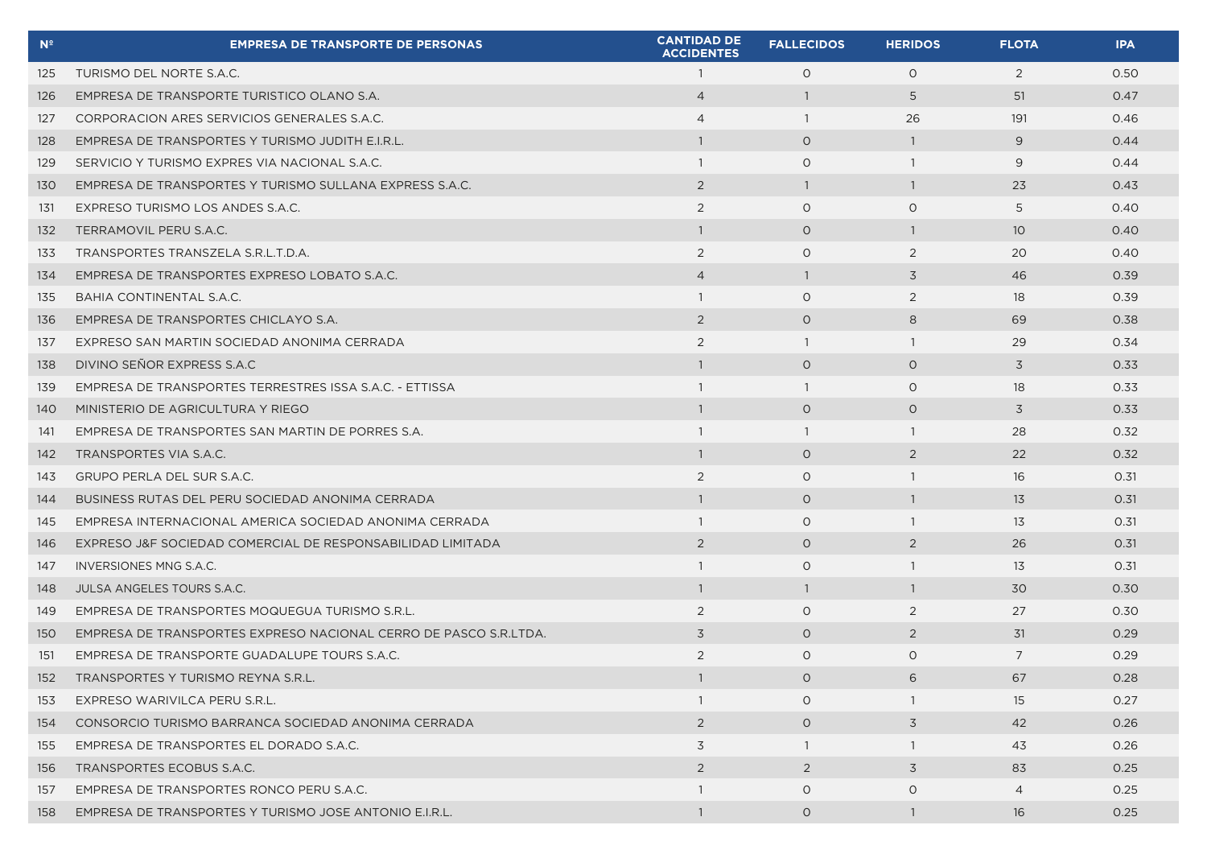| N <sup>2</sup> | <b>EMPRESA DE TRANSPORTE DE PERSONAS</b>                         | <b>CANTIDAD DE</b><br><b>ACCIDENTES</b> | <b>FALLECIDOS</b> | <b>HERIDOS</b> | <b>FLOTA</b>    | <b>IPA</b> |
|----------------|------------------------------------------------------------------|-----------------------------------------|-------------------|----------------|-----------------|------------|
| 125            | TURISMO DEL NORTE S.A.C.                                         | $\overline{1}$                          | $\circ$           | $\circ$        | 2               | 0.50       |
| 126            | EMPRESA DE TRANSPORTE TURISTICO OLANO S.A.                       | $\overline{4}$                          | $\overline{1}$    | 5              | 51              | 0.47       |
| 127            | CORPORACION ARES SERVICIOS GENERALES S.A.C.                      | $\overline{4}$                          | $\overline{1}$    | 26             | 191             | 0.46       |
| 128            | EMPRESA DE TRANSPORTES Y TURISMO JUDITH E.I.R.L.                 | $\mathbf{1}$                            | $\circ$           | $\overline{1}$ | 9               | 0.44       |
| 129            | SERVICIO Y TURISMO EXPRES VIA NACIONAL S.A.C.                    | $\overline{1}$                          | $\circ$           | $\mathbf{1}$   | 9               | 0.44       |
| 130            | EMPRESA DE TRANSPORTES Y TURISMO SULLANA EXPRESS S.A.C.          | $\overline{2}$                          | $\overline{1}$    | $\overline{1}$ | 23              | 0.43       |
| 131            | EXPRESO TURISMO LOS ANDES S.A.C.                                 | 2                                       | $\circ$           | $\circ$        | 5               | 0.40       |
| 132            | TERRAMOVIL PERU S.A.C.                                           | $\overline{1}$                          | $\circ$           | $\overline{1}$ | 10 <sup>°</sup> | 0.40       |
| 133            | TRANSPORTES TRANSZELA S.R.L.T.D.A.                               | 2                                       | $\circ$           | 2              | 20              | 0.40       |
| 134            | EMPRESA DE TRANSPORTES EXPRESO LOBATO S.A.C.                     | $\overline{4}$                          | $\overline{1}$    | 3              | 46              | 0.39       |
| 135            | BAHIA CONTINENTAL S.A.C.                                         | $\overline{1}$                          | $\circ$           | 2              | 18              | 0.39       |
| 136            | EMPRESA DE TRANSPORTES CHICLAYO S.A.                             | 2                                       | $\circ$           | 8              | 69              | 0.38       |
| 137            | EXPRESO SAN MARTIN SOCIEDAD ANONIMA CERRADA                      | 2                                       | $\overline{1}$    | $\overline{1}$ | 29              | 0.34       |
| 138            | DIVINO SEÑOR EXPRESS S.A.C                                       | $\mathbf{1}$                            | $\overline{O}$    | $\circ$        | 3               | 0.33       |
| 139            | EMPRESA DE TRANSPORTES TERRESTRES ISSA S.A.C. - ETTISSA          | $\overline{1}$                          | $\overline{1}$    | $\circ$        | 18              | 0.33       |
| 140            | MINISTERIO DE AGRICULTURA Y RIEGO                                | $\overline{1}$                          | $\circ$           | $\circ$        | 3               | 0.33       |
| 141            | EMPRESA DE TRANSPORTES SAN MARTIN DE PORRES S.A.                 | $\mathbf{1}$                            | $\overline{1}$    | $\overline{1}$ | 28              | 0.32       |
| 142            | TRANSPORTES VIA S.A.C.                                           | $\overline{1}$                          | $\circ$           | 2              | 22              | 0.32       |
| 143            | <b>GRUPO PERLA DEL SUR S.A.C.</b>                                | 2                                       | $\circ$           | $\overline{1}$ | 16              | 0.31       |
| 144            | BUSINESS RUTAS DEL PERU SOCIEDAD ANONIMA CERRADA                 | $\overline{1}$                          | $\circ$           | $\overline{1}$ | 13              | 0.31       |
| 145            | EMPRESA INTERNACIONAL AMERICA SOCIEDAD ANONIMA CERRADA           | -1                                      | $\circ$           | $\overline{1}$ | 13              | 0.31       |
| 146            | EXPRESO J&F SOCIEDAD COMERCIAL DE RESPONSABILIDAD LIMITADA       | 2                                       | $\circ$           | 2              | 26              | 0.31       |
| 147            | INVERSIONES MNG S.A.C.                                           | $\overline{1}$                          | $\circ$           | $\overline{1}$ | 13              | 0.31       |
| 148            | JULSA ANGELES TOURS S.A.C.                                       | $\overline{1}$                          | $\overline{1}$    | -1             | 30              | 0.30       |
| 149            | EMPRESA DE TRANSPORTES MOQUEGUA TURISMO S.R.L.                   | 2                                       | $\circ$           | 2              | 27              | 0.30       |
| 150            | EMPRESA DE TRANSPORTES EXPRESO NACIONAL CERRO DE PASCO S.R.LTDA. | 3                                       | $\circ$           | $\overline{2}$ | 31              | 0.29       |
| 151            | EMPRESA DE TRANSPORTE GUADALUPE TOURS S.A.C.                     | 2                                       | $\circ$           | $\circ$        | $\overline{7}$  | 0.29       |
| 152            | TRANSPORTES Y TURISMO REYNA S.R.L.                               |                                         | $\circ$           | 6              | 67              | 0.28       |
| 153            | EXPRESO WARIVILCA PERU S.R.L.                                    | $\mathbf{1}$                            | $\circ$           |                | 15              | 0.27       |
| 154            | CONSORCIO TURISMO BARRANCA SOCIEDAD ANONIMA CERRADA              | 2                                       | $\circ$           | 3              | 42              | 0.26       |
| 155            | EMPRESA DE TRANSPORTES EL DORADO S.A.C.                          | 3                                       | $\overline{1}$    | $\overline{1}$ | 43              | 0.26       |
| 156            | TRANSPORTES ECOBUS S.A.C.                                        | $\overline{2}$                          | 2                 | 3              | 83              | 0.25       |
| 157            | EMPRESA DE TRANSPORTES RONCO PERU S.A.C.                         | $\overline{1}$                          | $\circ$           | $\circ$        | $\overline{4}$  | 0.25       |
| 158            | EMPRESA DE TRANSPORTES Y TURISMO JOSE ANTONIO E.I.R.L.           | $\overline{1}$                          | $\circ$           | -1             | 16              | 0.25       |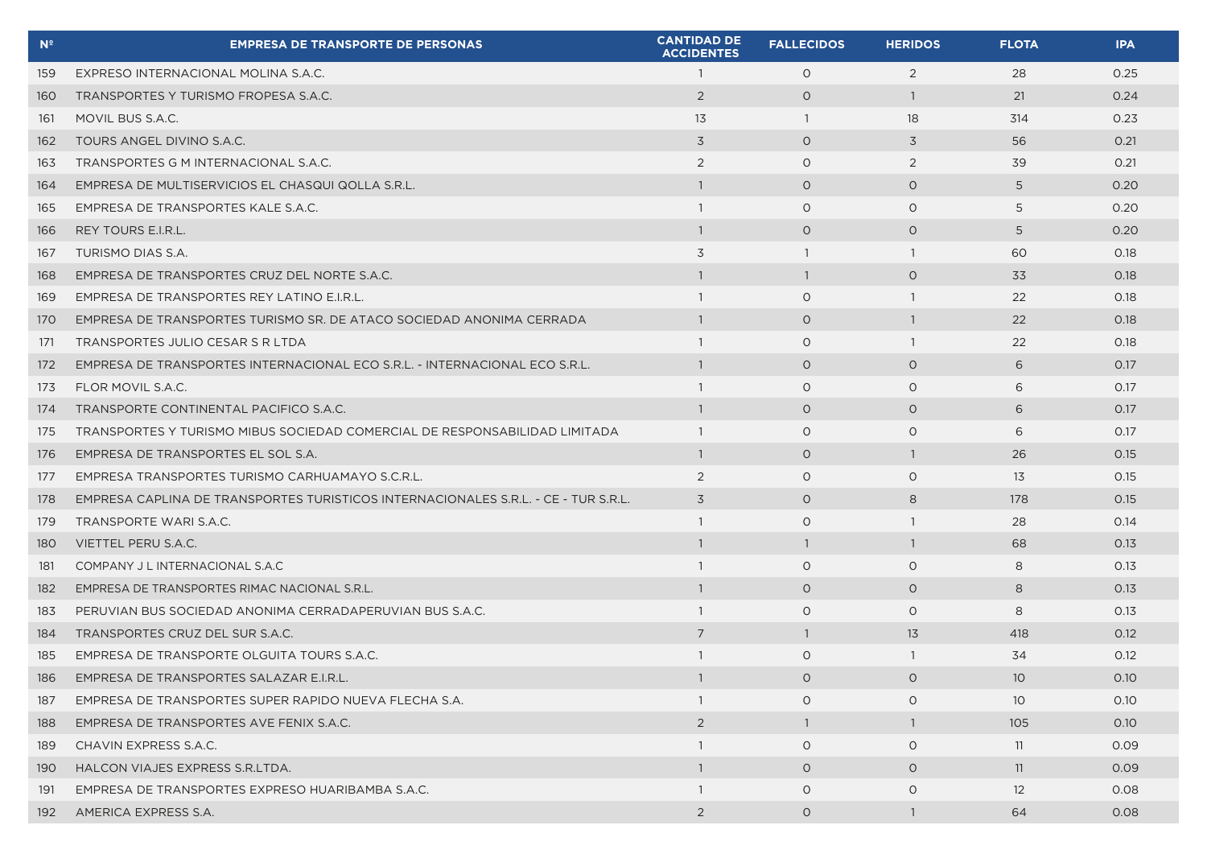| $N^{\circ}$ | <b>EMPRESA DE TRANSPORTE DE PERSONAS</b>                                           | <b>CANTIDAD DE</b><br><b>ACCIDENTES</b> | <b>FALLECIDOS</b> | <b>HERIDOS</b> | <b>FLOTA</b>      | <b>IPA</b> |
|-------------|------------------------------------------------------------------------------------|-----------------------------------------|-------------------|----------------|-------------------|------------|
| 159         | EXPRESO INTERNACIONAL MOLINA S.A.C.                                                | $\overline{1}$                          | $\circ$           | 2              | 28                | 0.25       |
| 160         | TRANSPORTES Y TURISMO FROPESA S.A.C.                                               | $\overline{2}$                          | $\circ$           | $\overline{1}$ | 21                | 0.24       |
| 161         | MOVIL BUS S.A.C.                                                                   | 13                                      | $\overline{1}$    | 18             | 314               | 0.23       |
| 162         | TOURS ANGEL DIVINO S.A.C.                                                          | $\overline{3}$                          | $\circ$           | 3              | 56                | 0.21       |
| 163         | TRANSPORTES G M INTERNACIONAL S.A.C.                                               | 2                                       | $\circ$           | 2              | 39                | 0.21       |
| 164         | EMPRESA DE MULTISERVICIOS EL CHASQUI QOLLA S.R.L.                                  | $\overline{1}$                          | $\circ$           | $\circ$        | 5                 | 0.20       |
| 165         | EMPRESA DE TRANSPORTES KALE S.A.C.                                                 | $\overline{1}$                          | $\circ$           | $\Omega$       | 5                 | 0.20       |
| 166         | REY TOURS E.I.R.L.                                                                 | $\overline{1}$                          | $\circ$           | $\circ$        | 5                 | 0.20       |
| 167         | TURISMO DIAS S.A.                                                                  | 3                                       | $\overline{1}$    | -1             | 60                | 0.18       |
| 168         | EMPRESA DE TRANSPORTES CRUZ DEL NORTE S.A.C.                                       | $\overline{1}$                          | $\overline{1}$    | $\circ$        | 33                | 0.18       |
| 169         | EMPRESA DE TRANSPORTES REY LATINO E.I.R.L.                                         | $\overline{1}$                          | $\circ$           | $\overline{1}$ | 22                | 0.18       |
| 170         | EMPRESA DE TRANSPORTES TURISMO SR. DE ATACO SOCIEDAD ANONIMA CERRADA               | $\overline{1}$                          | $\circ$           | $\overline{1}$ | 22                | 0.18       |
| 171         | TRANSPORTES JULIO CESAR S R LTDA                                                   | $\mathbf{1}$                            | $\circ$           | -1             | 22                | 0.18       |
| 172         | EMPRESA DE TRANSPORTES INTERNACIONAL ECO S.R.L. - INTERNACIONAL ECO S.R.L.         | $\overline{1}$                          | $\circ$           | $\circ$        | 6                 | 0.17       |
| 173         | FLOR MOVIL S.A.C.                                                                  | $\overline{1}$                          | $\circ$           | $\circ$        | 6                 | 0.17       |
| 174         | TRANSPORTE CONTINENTAL PACIFICO S.A.C.                                             | $\overline{1}$                          | $\circ$           | $\circ$        | 6                 | 0.17       |
| 175         | TRANSPORTES Y TURISMO MIBUS SOCIEDAD COMERCIAL DE RESPONSABILIDAD LIMITADA         | $\overline{1}$                          | $\circ$           | $\Omega$       | 6                 | 0.17       |
| 176         | EMPRESA DE TRANSPORTES EL SOL S.A.                                                 | -1                                      | $\circ$           | -1             | 26                | 0.15       |
| 177         | EMPRESA TRANSPORTES TURISMO CARHUAMAYO S.C.R.L.                                    | 2                                       | $\circ$           | $\circ$        | 13                | 0.15       |
| 178         | EMPRESA CAPLINA DE TRANSPORTES TURISTICOS INTERNACIONALES S.R.L. - CE - TUR S.R.L. | 3                                       | $\circ$           | 8              | 178               | 0.15       |
| 179         | TRANSPORTE WARI S.A.C.                                                             | $\overline{1}$                          | $\circ$           | $\overline{1}$ | 28                | 0.14       |
| 180         | VIETTEL PERU S.A.C.                                                                | $\overline{1}$                          | $\overline{1}$    | $\overline{1}$ | 68                | 0.13       |
| 181         | COMPANY J L INTERNACIONAL S.A.C                                                    | $\overline{1}$                          | $\circ$           | $\circ$        | 8                 | 0.13       |
| 182         | EMPRESA DE TRANSPORTES RIMAC NACIONAL S.R.L.                                       | $\overline{1}$                          | $\circ$           | $\circ$        | 8                 | 0.13       |
| 183         | PERUVIAN BUS SOCIEDAD ANONIMA CERRADAPERUVIAN BUS S.A.C.                           | $\mathbf{1}$                            | $\circ$           | $\circ$        | 8                 | 0.13       |
| 184         | TRANSPORTES CRUZ DEL SUR S.A.C.                                                    | $\overline{7}$                          | $\overline{1}$    | 13             | 418               | 0.12       |
| 185         | EMPRESA DE TRANSPORTE OLGUITA TOURS S.A.C.                                         | $\overline{1}$                          | $\circ$           | $\overline{1}$ | 34                | 0.12       |
| 186         | EMPRESA DE TRANSPORTES SALAZAR E.I.R.L.                                            |                                         | $\circ$           | $\circ$        | 10 <sup>°</sup>   | 0.10       |
| 187         | EMPRESA DE TRANSPORTES SUPER RAPIDO NUEVA FLECHA S.A.                              | $\overline{1}$                          | $\circ$           | $\circ$        | 10 <sup>°</sup>   | 0.10       |
| 188         | EMPRESA DE TRANSPORTES AVE FENIX S.A.C.                                            | 2                                       | $\mathbf{1}$      | $\overline{1}$ | 105               | 0.10       |
| 189         | CHAVIN EXPRESS S.A.C.                                                              | $\overline{1}$                          | $\circ$           | $\circ$        | 11                | 0.09       |
| 190         | HALCON VIAJES EXPRESS S.R.LTDA.                                                    | $\mathbf{1}$                            | $\circ$           | $\circ$        | 11                | 0.09       |
| 191         | EMPRESA DE TRANSPORTES EXPRESO HUARIBAMBA S.A.C.                                   | $\mathbf{1}$                            | $\circ$           | $\circ$        | $12 \overline{ }$ | 0.08       |
| 192         | AMERICA EXPRESS S.A.                                                               | 2                                       | $\circ$           | $\overline{1}$ | 64                | 0.08       |